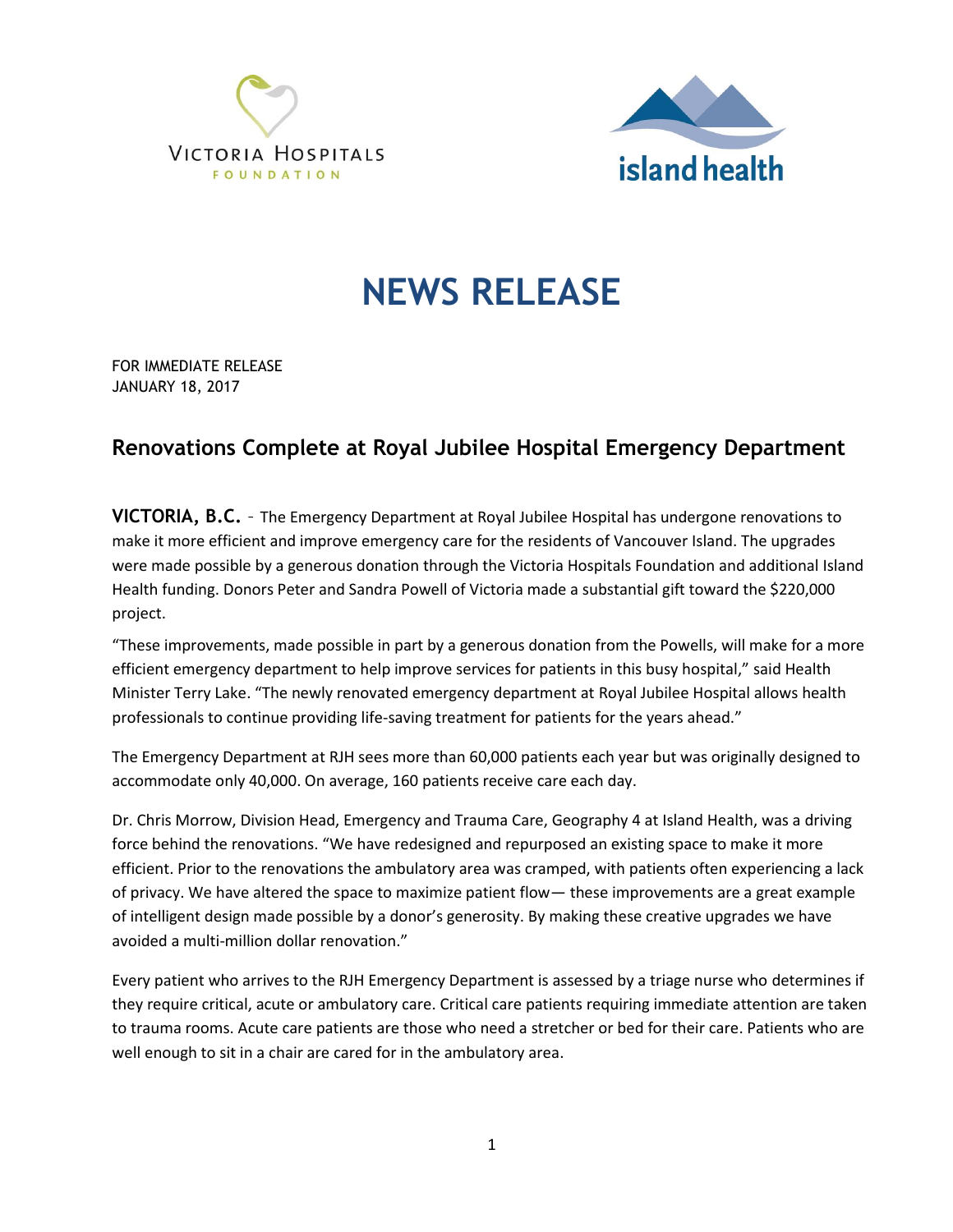



## **NEWS RELEASE**

FOR IMMEDIATE RELEASE JANUARY 18, 2017

## **Renovations Complete at Royal Jubilee Hospital Emergency Department**

**VICTORIA, B.C.** – The Emergency Department at Royal Jubilee Hospital has undergone renovations to make it more efficient and improve emergency care for the residents of Vancouver Island. The upgrades were made possible by a generous donation through the Victoria Hospitals Foundation and additional Island Health funding. Donors Peter and Sandra Powell of Victoria made a substantial gift toward the \$220,000 project.

"These improvements, made possible in part by a generous donation from the Powells, will make for a more efficient emergency department to help improve services for patients in this busy hospital," said Health Minister Terry Lake. "The newly renovated emergency department at Royal Jubilee Hospital allows health professionals to continue providing life-saving treatment for patients for the years ahead."

The Emergency Department at RJH sees more than 60,000 patients each year but was originally designed to accommodate only 40,000. On average, 160 patients receive care each day.

Dr. Chris Morrow, Division Head, Emergency and Trauma Care, Geography 4 at Island Health, was a driving force behind the renovations. "We have redesigned and repurposed an existing space to make it more efficient. Prior to the renovations the ambulatory area was cramped, with patients often experiencing a lack of privacy. We have altered the space to maximize patient flow— these improvements are a great example of intelligent design made possible by a donor's generosity. By making these creative upgrades we have avoided a multi-million dollar renovation."

Every patient who arrives to the RJH Emergency Department is assessed by a triage nurse who determines if they require critical, acute or ambulatory care. Critical care patients requiring immediate attention are taken to trauma rooms. Acute care patients are those who need a stretcher or bed for their care. Patients who are well enough to sit in a chair are cared for in the ambulatory area.